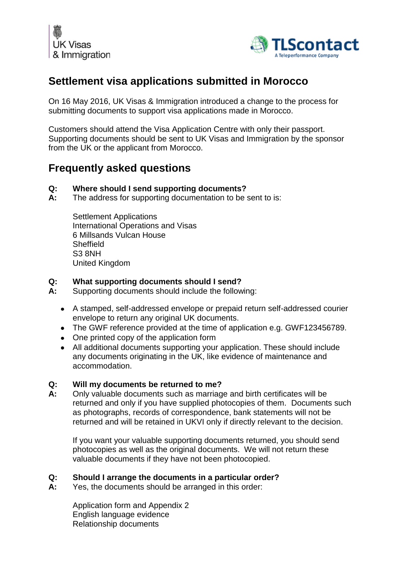



# **Settlement visa applications submitted in Morocco**

On 16 May 2016, UK Visas & Immigration introduced a change to the process for submitting documents to support visa applications made in Morocco.

Customers should attend the Visa Application Centre with only their passport. Supporting documents should be sent to UK Visas and Immigration by the sponsor from the UK or the applicant from Morocco.

## **Frequently asked questions**

#### **Q: Where should I send supporting documents?**

**A:** The address for supporting documentation to be sent to is:

Settlement Applications International Operations and Visas 6 Millsands Vulcan House **Sheffield** S3 8NH United Kingdom

#### **Q: What supporting documents should I send?**

- **A:** Supporting documents should include the following:
	- A stamped, self-addressed envelope or prepaid return self-addressed courier envelope to return any original UK documents.
	- The GWF reference provided at the time of application e.g. GWF123456789.
	- One printed copy of the application form
	- All additional documents supporting your application. These should include any documents originating in the UK, like evidence of maintenance and accommodation.

#### **Q: Will my documents be returned to me?**

**A:** Only valuable documents such as marriage and birth certificates will be returned and only if you have supplied photocopies of them. Documents such as photographs, records of correspondence, bank statements will not be returned and will be retained in UKVI only if directly relevant to the decision.

If you want your valuable supporting documents returned, you should send photocopies as well as the original documents. We will not return these valuable documents if they have not been photocopied.

#### **Q: Should I arrange the documents in a particular order?**

**A:** Yes, the documents should be arranged in this order:

Application form and Appendix 2 English language evidence Relationship documents